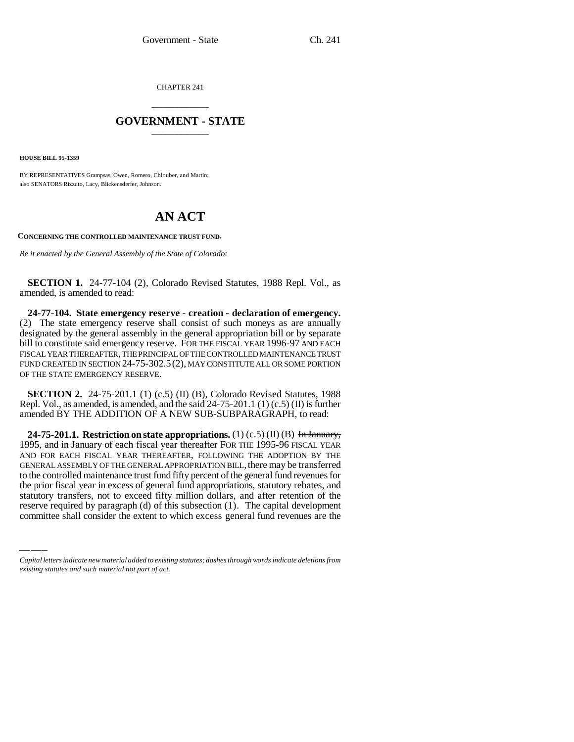CHAPTER 241

## \_\_\_\_\_\_\_\_\_\_\_\_\_\_\_ **GOVERNMENT - STATE** \_\_\_\_\_\_\_\_\_\_\_\_\_\_\_

**HOUSE BILL 95-1359**

BY REPRESENTATIVES Grampsas, Owen, Romero, Chlouber, and Martin; also SENATORS Rizzuto, Lacy, Blickensderfer, Johnson.

## **AN ACT**

**CONCERNING THE CONTROLLED MAINTENANCE TRUST FUND.**

*Be it enacted by the General Assembly of the State of Colorado:*

**SECTION 1.** 24-77-104 (2), Colorado Revised Statutes, 1988 Repl. Vol., as amended, is amended to read:

**24-77-104. State emergency reserve - creation - declaration of emergency.** (2) The state emergency reserve shall consist of such moneys as are annually designated by the general assembly in the general appropriation bill or by separate bill to constitute said emergency reserve. FOR THE FISCAL YEAR 1996-97 AND EACH FISCAL YEAR THEREAFTER, THE PRINCIPAL OF THE CONTROLLED MAINTENANCE TRUST FUND CREATED IN SECTION 24-75-302.5(2), MAY CONSTITUTE ALL OR SOME PORTION OF THE STATE EMERGENCY RESERVE.

**SECTION 2.** 24-75-201.1 (1) (c.5) (II) (B), Colorado Revised Statutes, 1988 Repl. Vol., as amended, is amended, and the said 24-75-201.1 (1) (c.5) (II) is further amended BY THE ADDITION OF A NEW SUB-SUBPARAGRAPH, to read:

to the controlled mailmenance trust fund if ty percent of the general fund revenues for<br>the prior fiscal year in excess of general fund appropriations, statutory rebates, and **24-75-201.1. Restriction on state appropriations.** (1) (c.5) (II) (B) In January, 1995, and in January of each fiscal year thereafter FOR THE 1995-96 FISCAL YEAR AND FOR EACH FISCAL YEAR THEREAFTER, FOLLOWING THE ADOPTION BY THE GENERAL ASSEMBLY OF THE GENERAL APPROPRIATION BILL, there may be transferred to the controlled maintenance trust fund fifty percent of the general fund revenues for statutory transfers, not to exceed fifty million dollars, and after retention of the reserve required by paragraph (d) of this subsection (1). The capital development committee shall consider the extent to which excess general fund revenues are the

*Capital letters indicate new material added to existing statutes; dashes through words indicate deletions from existing statutes and such material not part of act.*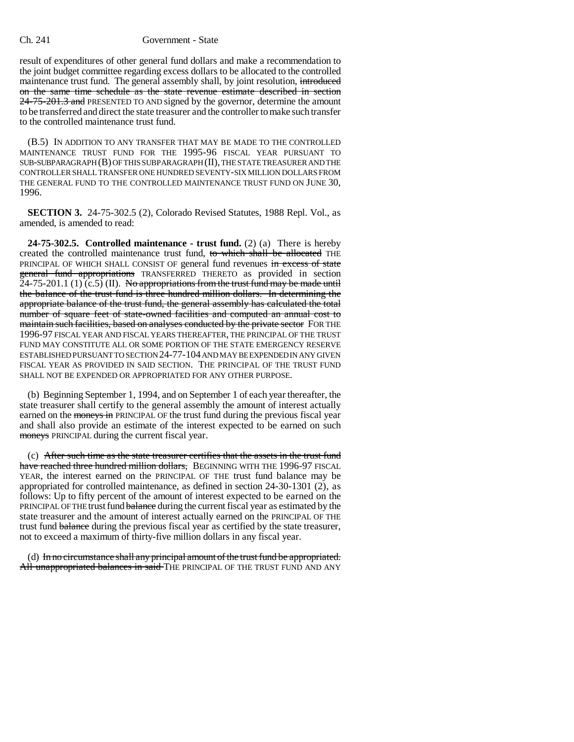## Ch. 241 Government - State

result of expenditures of other general fund dollars and make a recommendation to the joint budget committee regarding excess dollars to be allocated to the controlled maintenance trust fund. The general assembly shall, by joint resolution, introduced on the same time schedule as the state revenue estimate described in section 24-75-201.3 and PRESENTED TO AND signed by the governor, determine the amount to be transferred and direct the state treasurer and the controller to make such transfer to the controlled maintenance trust fund.

(B.5) IN ADDITION TO ANY TRANSFER THAT MAY BE MADE TO THE CONTROLLED MAINTENANCE TRUST FUND FOR THE 1995-96 FISCAL YEAR PURSUANT TO SUB-SUBPARAGRAPH (B) OF THIS SUBPARAGRAPH (II), THE STATE TREASURER AND THE CONTROLLER SHALL TRANSFER ONE HUNDRED SEVENTY-SIX MILLION DOLLARS FROM THE GENERAL FUND TO THE CONTROLLED MAINTENANCE TRUST FUND ON JUNE 30, 1996.

**SECTION 3.** 24-75-302.5 (2), Colorado Revised Statutes, 1988 Repl. Vol., as amended, is amended to read:

**24-75-302.5. Controlled maintenance - trust fund.** (2) (a) There is hereby created the controlled maintenance trust fund, to which shall be allocated THE PRINCIPAL OF WHICH SHALL CONSIST OF general fund revenues in excess of state general fund appropriations TRANSFERRED THERETO as provided in section 24-75-201.1 (1)  $(c.5)$  (II). No appropriations from the trust fund may be made until the balance of the trust fund is three hundred million dollars. In determining the appropriate balance of the trust fund, the general assembly has calculated the total number of square feet of state-owned facilities and computed an annual cost to maintain such facilities, based on analyses conducted by the private sector FOR THE 1996-97 FISCAL YEAR AND FISCAL YEARS THEREAFTER, THE PRINCIPAL OF THE TRUST FUND MAY CONSTITUTE ALL OR SOME PORTION OF THE STATE EMERGENCY RESERVE ESTABLISHED PURSUANT TO SECTION 24-77-104 AND MAY BE EXPENDED IN ANY GIVEN FISCAL YEAR AS PROVIDED IN SAID SECTION. THE PRINCIPAL OF THE TRUST FUND SHALL NOT BE EXPENDED OR APPROPRIATED FOR ANY OTHER PURPOSE.

(b) Beginning September 1, 1994, and on September 1 of each year thereafter, the state treasurer shall certify to the general assembly the amount of interest actually earned on the moneys in PRINCIPAL OF the trust fund during the previous fiscal year and shall also provide an estimate of the interest expected to be earned on such moneys PRINCIPAL during the current fiscal year.

(c) After such time as the state treasurer certifies that the assets in the trust fund have reached three hundred million dollars, BEGINNING WITH THE 1996-97 FISCAL YEAR, the interest earned on the PRINCIPAL OF THE trust fund balance may be appropriated for controlled maintenance, as defined in section 24-30-1301 (2), as follows: Up to fifty percent of the amount of interest expected to be earned on the PRINCIPAL OF THE trust fund balance during the current fiscal year as estimated by the state treasurer and the amount of interest actually earned on the PRINCIPAL OF THE trust fund balance during the previous fiscal year as certified by the state treasurer, not to exceed a maximum of thirty-five million dollars in any fiscal year.

(d) In no circumstance shall any principal amount of the trust fund be appropriated. All unappropriated balances in said THE PRINCIPAL OF THE TRUST FUND AND ANY